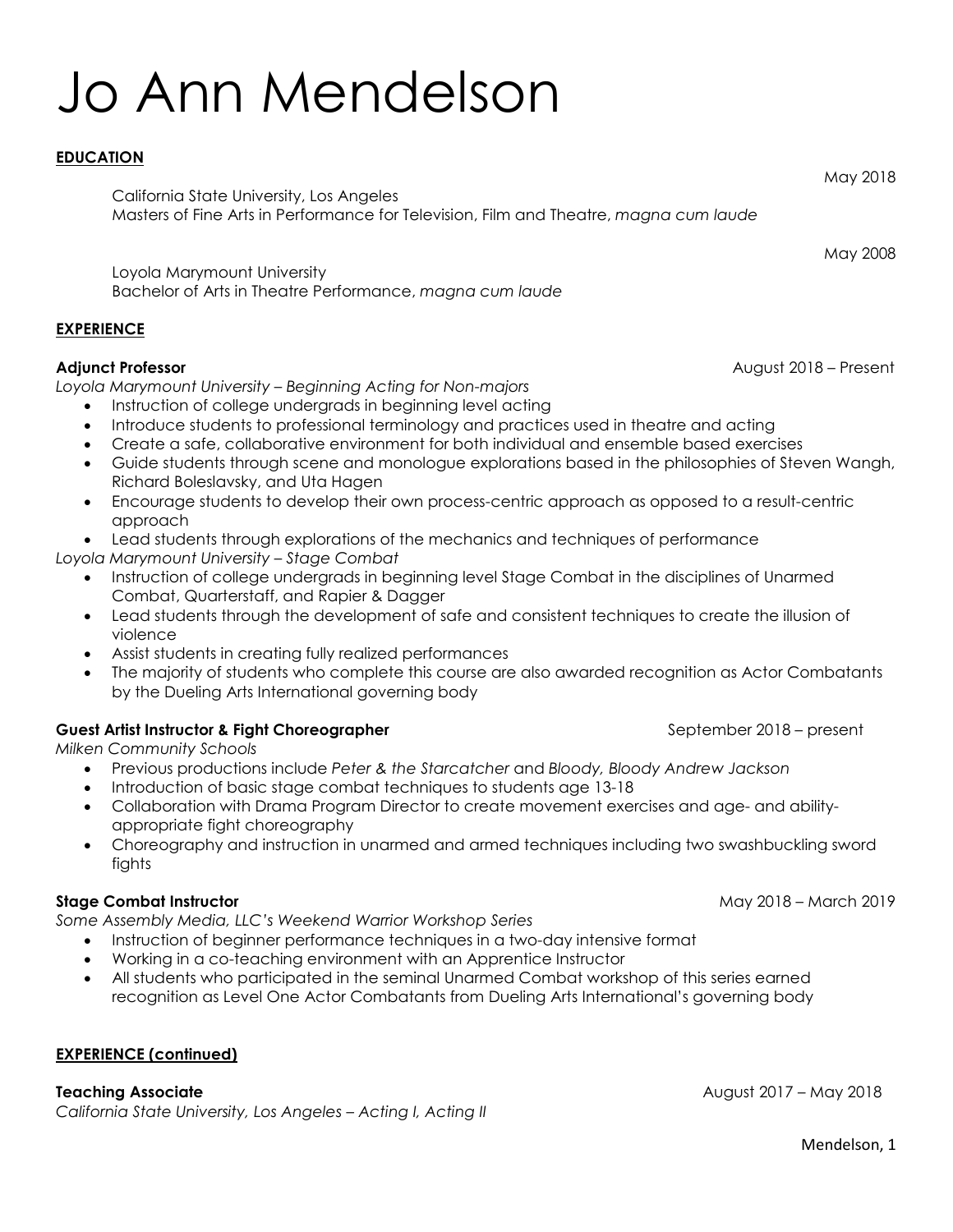# Jo Ann Mendelson

# **EDUCATION**

California State University, Los Angeles Masters of Fine Arts in Performance for Television, Film and Theatre, *magna cum laude*

Loyola Marymount University Bachelor of Arts in Theatre Performance, *magna cum laude*

# **EXPERIENCE**

## **Adjunct Professor** August 2018 – Present

*Loyola Marymount University – Beginning Acting for Non-majors*

- Instruction of college undergrads in beginning level acting
- Introduce students to professional terminology and practices used in theatre and acting
- Create a safe, collaborative environment for both individual and ensemble based exercises
- Guide students through scene and monologue explorations based in the philosophies of Steven Wangh, Richard Boleslavsky, and Uta Hagen
- Encourage students to develop their own process-centric approach as opposed to a result-centric approach
- Lead students through explorations of the mechanics and techniques of performance
- *Loyola Marymount University – Stage Combat* 
	- Instruction of college undergrads in beginning level Stage Combat in the disciplines of Unarmed Combat, Quarterstaff, and Rapier & Dagger
	- Lead students through the development of safe and consistent techniques to create the illusion of violence
	- Assist students in creating fully realized performances
	- The majority of students who complete this course are also awarded recognition as Actor Combatants by the Dueling Arts International governing body

# **Guest Artist Instructor & Fight Choreographer <b>September 2018** – present

*Milken Community Schools*

- Previous productions include *Peter & the Starcatcher* and *Bloody, Bloody Andrew Jackson*
- Introduction of basic stage combat techniques to students age 13-18
- Collaboration with Drama Program Director to create movement exercises and age- and abilityappropriate fight choreography
- Choreography and instruction in unarmed and armed techniques including two swashbuckling sword fights

# **Stage Combat Instructor** May 2018 – March 2019

*Some Assembly Media, LLC's Weekend Warrior Workshop Series*

- Instruction of beginner performance techniques in a two-day intensive format
- Working in a co-teaching environment with an Apprentice Instructor
- All students who participated in the seminal Unarmed Combat workshop of this series earned recognition as Level One Actor Combatants from Dueling Arts International's governing body

## **EXPERIENCE (continued)**

## **Teaching Associate** August 2017 – May 2018

*California State University, Los Angeles – Acting I, Acting II*

Mendelson, 1

May 2018

May 2008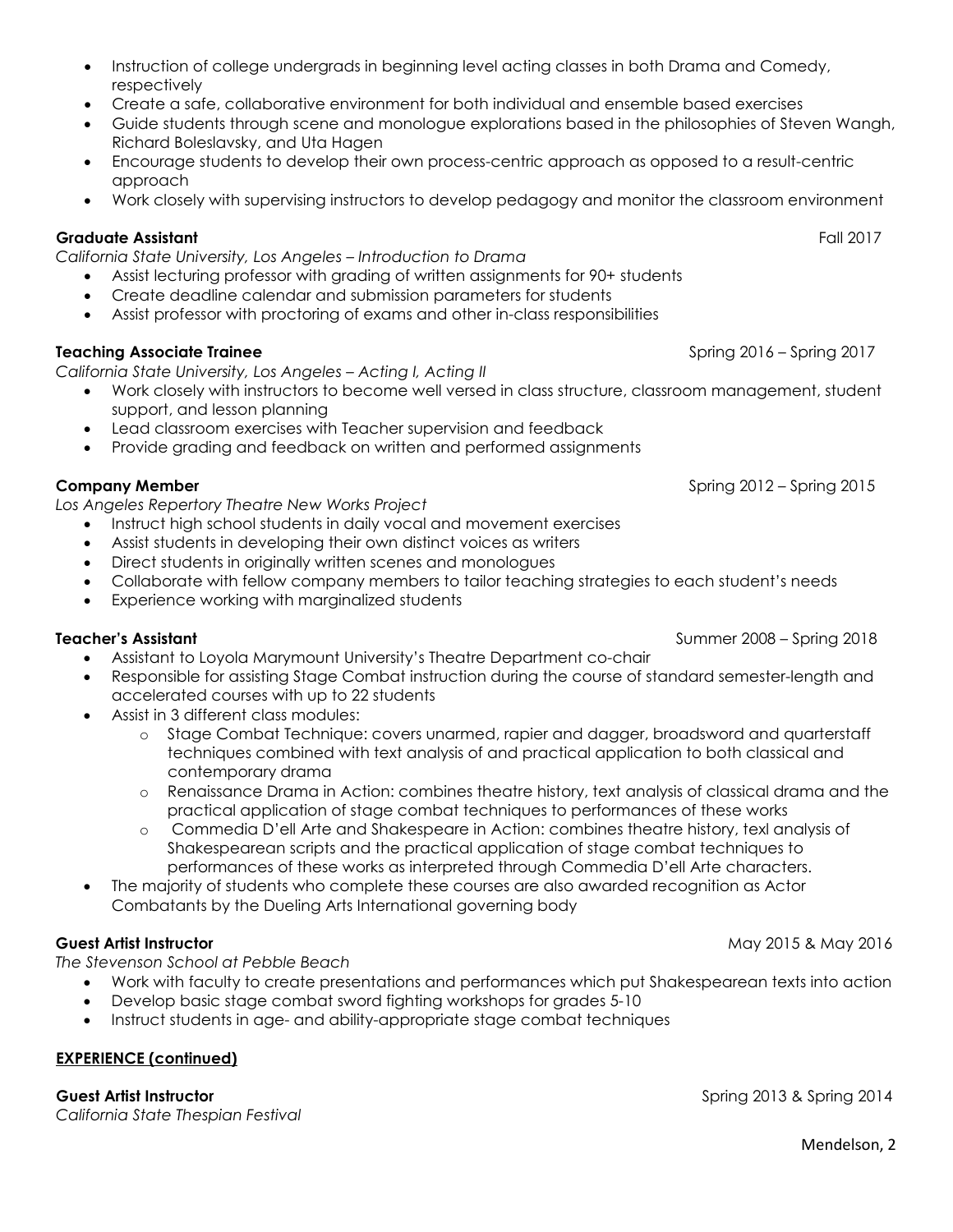- Instruction of college undergrads in beginning level acting classes in both Drama and Comedy, respectively
- Create a safe, collaborative environment for both individual and ensemble based exercises
- Guide students through scene and monologue explorations based in the philosophies of Steven Wangh, Richard Boleslavsky, and Uta Hagen
- Encourage students to develop their own process-centric approach as opposed to a result-centric approach
- Work closely with supervising instructors to develop pedagogy and monitor the classroom environment

# **Graduate Assistant** Fall 2017

*California State University, Los Angeles – Introduction to Drama*

- Assist lecturing professor with grading of written assignments for 90+ students
- Create deadline calendar and submission parameters for students
- Assist professor with proctoring of exams and other in-class responsibilities

# **Teaching Associate Trainee Spring 2016 – Spring 2017**

*California State University, Los Angeles – Acting I, Acting II*

- Work closely with instructors to become well versed in class structure, classroom management, student support, and lesson planning
- Lead classroom exercises with Teacher supervision and feedback
- Provide grading and feedback on written and performed assignments

*Los Angeles Repertory Theatre New Works Project*

- Instruct high school students in daily vocal and movement exercises
- Assist students in developing their own distinct voices as writers
- Direct students in originally written scenes and monologues
- Collaborate with fellow company members to tailor teaching strategies to each student's needs
- Experience working with marginalized students

# **Teacher's Assistant** Summer 2008 – Spring 2018

- Assistant to Loyola Marymount University's Theatre Department co-chair
- Responsible for assisting Stage Combat instruction during the course of standard semester-length and accelerated courses with up to 22 students
- Assist in 3 different class modules:
	- o Stage Combat Technique: covers unarmed, rapier and dagger, broadsword and quarterstaff techniques combined with text analysis of and practical application to both classical and contemporary drama
	- o Renaissance Drama in Action: combines theatre history, text analysis of classical drama and the practical application of stage combat techniques to performances of these works
	- o Commedia D'ell Arte and Shakespeare in Action: combines theatre history, texl analysis of Shakespearean scripts and the practical application of stage combat techniques to performances of these works as interpreted through Commedia D'ell Arte characters.
- The majority of students who complete these courses are also awarded recognition as Actor Combatants by the Dueling Arts International governing body

*The Stevenson School at Pebble Beach*

- Work with faculty to create presentations and performances which put Shakespearean texts into action
- Develop basic stage combat sword fighting workshops for grades 5-10
- Instruct students in age- and ability-appropriate stage combat techniques

# **EXPERIENCE (continued)**

**Guest Artist Instructor** Spring 2013 & Spring 2014

*California State Thespian Festival*

**Company Member Company Member** Spring 2015

**Guest Artist Instructor May 2016 May 2016 May 2016 May 2016 May 2016**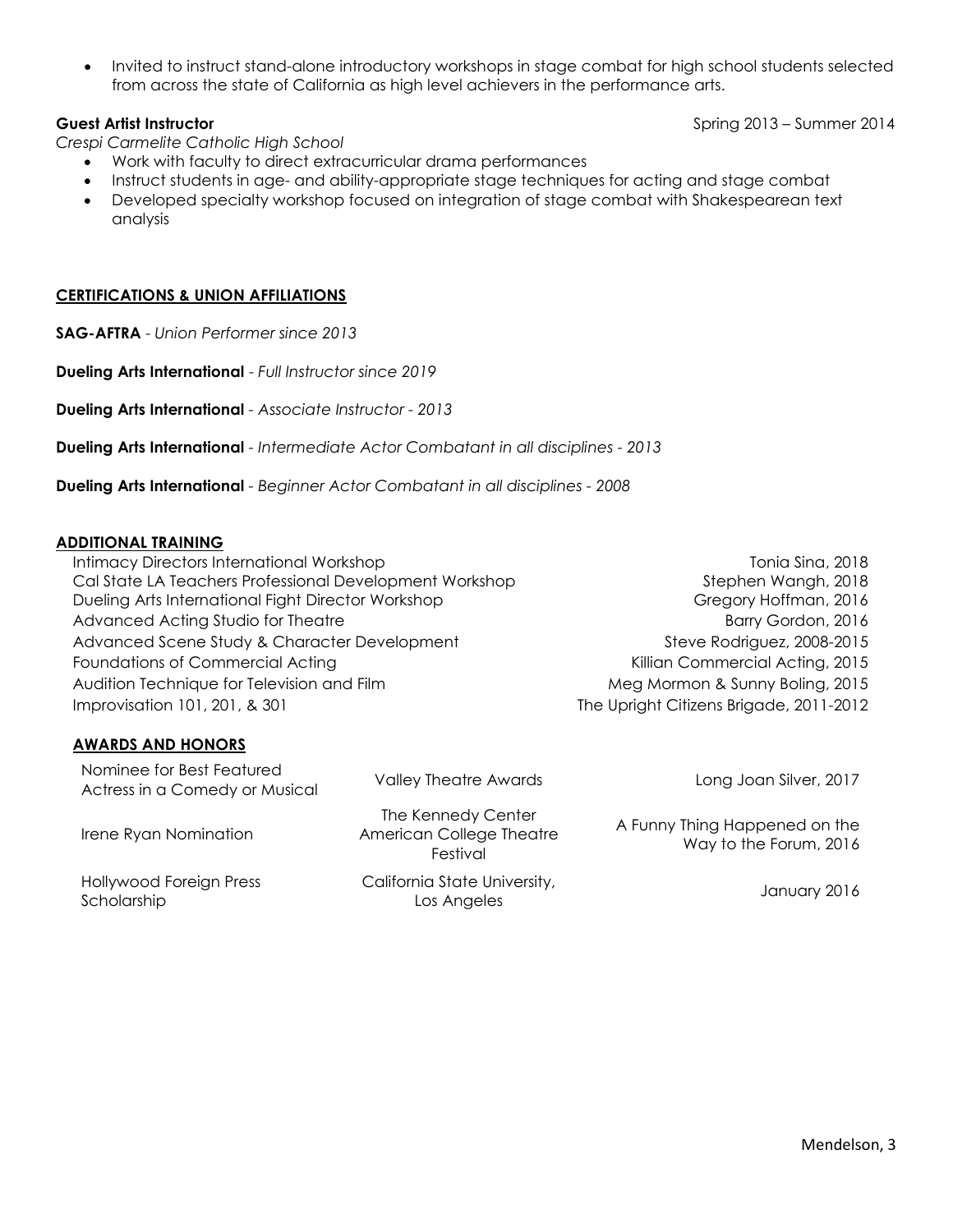• Invited to instruct stand-alone introductory workshops in stage combat for high school students selected from across the state of California as high level achievers in the performance arts.

*Crespi Carmelite Catholic High School*

- Work with faculty to direct extracurricular drama performances
- Instruct students in age- and ability-appropriate stage techniques for acting and stage combat
- Developed specialty workshop focused on integration of stage combat with Shakespearean text analysis

### **CERTIFICATIONS & UNION AFFILIATIONS**

**SAG-AFTRA** - *Union Performer since 2013*

**Dueling Arts International** - *Full Instructor since 2019*

**Dueling Arts International** *- Associate Instructor - 2013*

**Dueling Arts International** *- Intermediate Actor Combatant in all disciplines - 2013*

**Dueling Arts International** *- Beginner Actor Combatant in all disciplines - 2008*

### **ADDITIONAL TRAINING**

Intimacy Directors International Workshop Cal State LA Teachers Professional Development Workshop Dueling Arts International Fight Director Workshop Stephen Wangh, 2018 Gregory Hoffman, 2016 Advanced Acting Studio for Theatre Barry Gordon, 2016 Advanced Scene Study & Character Development Steve Rodriguez, 2008-2015 Foundations of Commercial Acting Theorem 2015 Commercial Acting, 2015 Audition Technique for Television and Film Meg Mormon & Sunny Boling, 2015 Improvisation 101, 201, & 301 The Upright Citizens Brigade, 2011-2012

## **AWARDS AND HONORS**

Nominee for Best Featured Actress in a Comedy or Musical Valley Theatre Awards Long Joan Silver, 2017 Irene Ryan Nomination The Kennedy Center American College Theatre Festival A Funny Thing Happened on the Way to the Forum, 2016 Hollywood Foreign Press Scholarship California State University, Los Angeles (1995), and the University, the State of January 2016

**Guest Artist Instructor** Spring 2013 – Summer 2014

Tonia Sina, 2018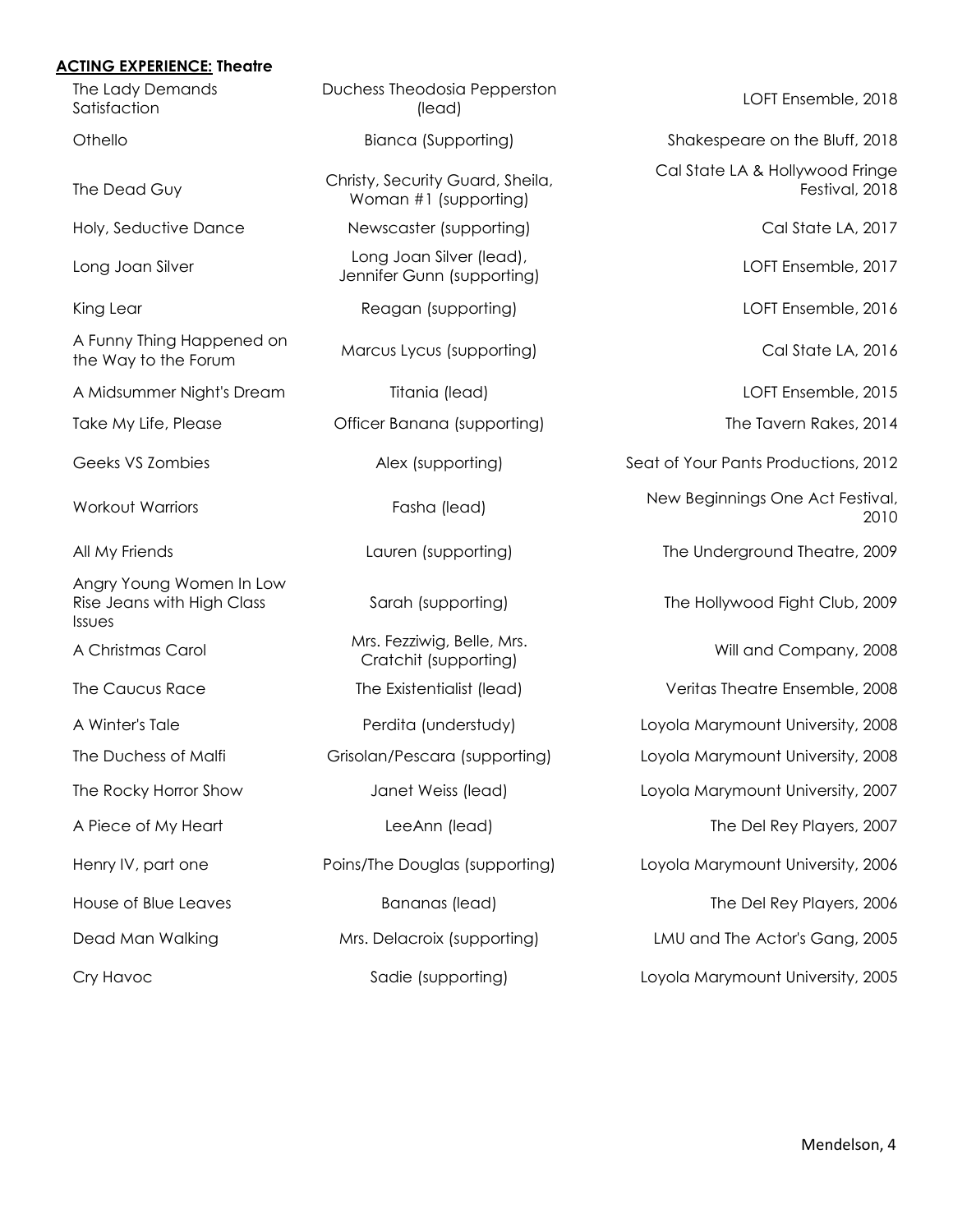### **ACTING EXPERIENCE: Theatre**

| The Lady Demands<br>Satisfaction                                        | Duchess Theodosia Pepperston<br>(lead)                    | LOFT Ensemble, 2018                               |
|-------------------------------------------------------------------------|-----------------------------------------------------------|---------------------------------------------------|
| Othello                                                                 | <b>Bianca (Supporting)</b>                                | Shakespeare on the Bluff, 2018                    |
| The Dead Guy                                                            | Christy, Security Guard, Sheila,<br>Woman #1 (supporting) | Cal State LA & Hollywood Fringe<br>Festival, 2018 |
| Holy, Seductive Dance                                                   | Newscaster (supporting)                                   | Cal State LA, 2017                                |
| Long Joan Silver                                                        | Long Joan Silver (lead),<br>Jennifer Gunn (supporting)    | LOFT Ensemble, 2017                               |
| King Lear                                                               | Reagan (supporting)                                       | LOFT Ensemble, 2016                               |
| A Funny Thing Happened on<br>the Way to the Forum                       | Marcus Lycus (supporting)                                 | Cal State LA, 2016                                |
| A Midsummer Night's Dream                                               | Titania (lead)                                            | LOFT Ensemble, 2015                               |
| Take My Life, Please                                                    | Officer Banana (supporting)                               | The Tavern Rakes, 2014                            |
| Geeks VS Zombies                                                        | Alex (supporting)                                         | Seat of Your Pants Productions, 2012              |
| <b>Workout Warriors</b>                                                 | Fasha (lead)                                              | New Beginnings One Act Festival,<br>2010          |
| All My Friends                                                          | Lauren (supporting)                                       | The Underground Theatre, 2009                     |
| Angry Young Women In Low<br>Rise Jeans with High Class<br><b>Issues</b> | Sarah (supporting)                                        | The Hollywood Fight Club, 2009                    |
| A Christmas Carol                                                       | Mrs. Fezziwig, Belle, Mrs.<br>Cratchit (supporting)       | Will and Company, 2008                            |
| The Caucus Race                                                         | The Existentialist (lead)                                 | Veritas Theatre Ensemble, 2008                    |
| A Winter's Tale                                                         | Perdita (understudy)                                      | Loyola Marymount University, 2008                 |
| The Duchess of Malfi                                                    | Grisolan/Pescara (supporting)                             | Loyola Marymount University, 2008                 |
| The Rocky Horror Show                                                   | Janet Weiss (lead)                                        | Loyola Marymount University, 2007                 |
| A Piece of My Heart                                                     | LeeAnn (lead)                                             | The Del Rey Players, 2007                         |
| Henry IV, part one                                                      | Poins/The Douglas (supporting)                            | Loyola Marymount University, 2006                 |
| House of Blue Leaves                                                    | <b>Bananas</b> (lead)                                     | The Del Rey Players, 2006                         |
| Dead Man Walking                                                        | Mrs. Delacroix (supporting)                               | LMU and The Actor's Gang, 2005                    |
| Cry Havoc                                                               | Sadie (supporting)                                        | Loyola Marymount University, 2005                 |
|                                                                         |                                                           |                                                   |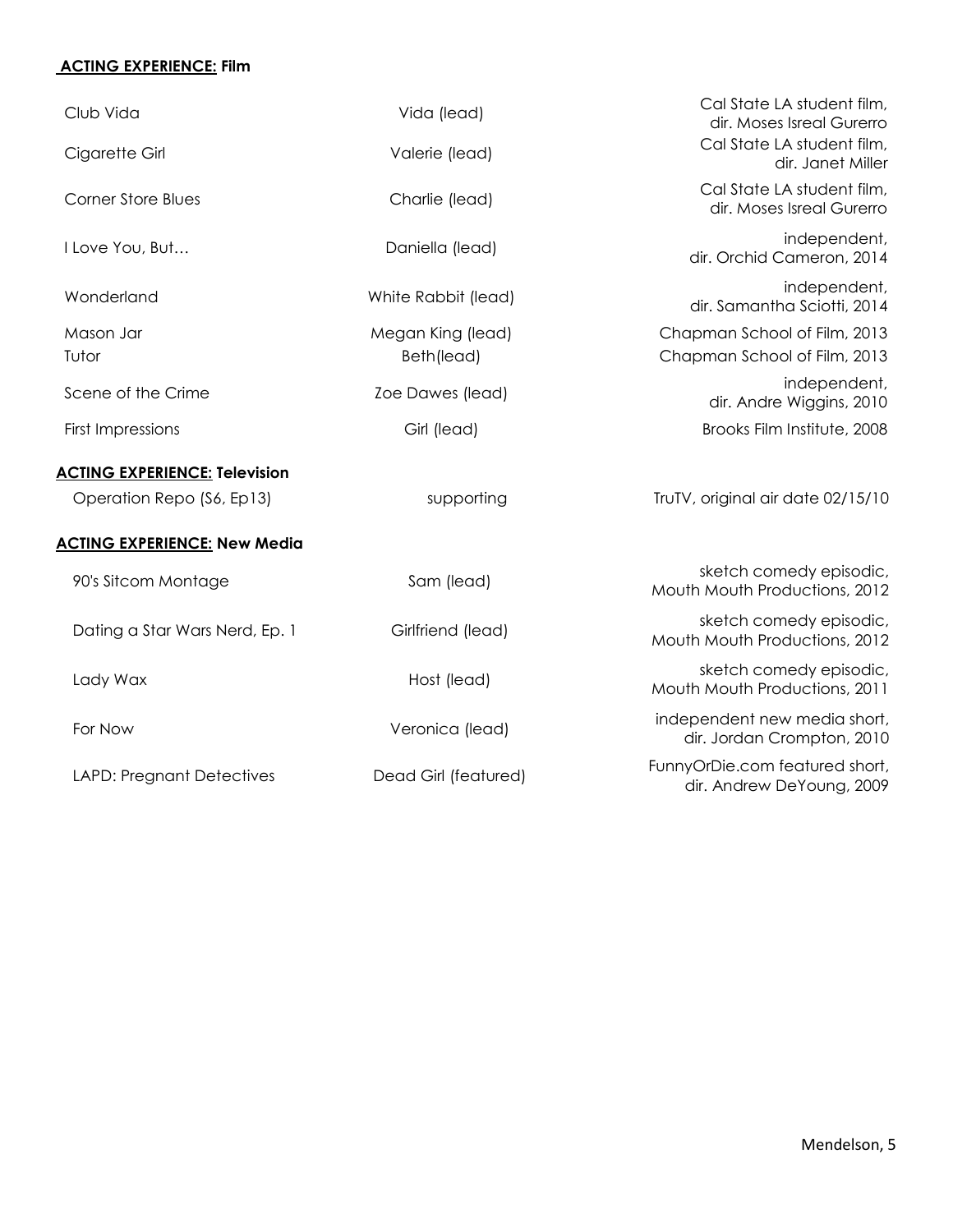# **ACTING EXPERIENCE: Film**

| Club Vida                            | Vida (lead)          | Cal State LA student film,<br>dir. Moses Isreal Gurerro     |
|--------------------------------------|----------------------|-------------------------------------------------------------|
| Cigarette Girl                       | Valerie (lead)       | Cal State LA student film,<br>dir. Janet Miller             |
| <b>Corner Store Blues</b>            | Charlie (lead)       | Cal State LA student film,<br>dir. Moses Isreal Gurerro     |
| I Love You, But                      | Daniella (lead)      | independent,<br>dir. Orchid Cameron, 2014                   |
| Wonderland                           | White Rabbit (lead)  | independent,<br>dir. Samantha Sciotti, 2014                 |
| Mason Jar                            | Megan King (lead)    | Chapman School of Film, 2013                                |
| Tutor                                | Beth(lead)           | Chapman School of Film, 2013                                |
| Scene of the Crime                   | Zoe Dawes (lead)     | independent,<br>dir. Andre Wiggins, 2010                    |
| <b>First Impressions</b>             | Girl (lead)          | Brooks Film Institute, 2008                                 |
| <b>ACTING EXPERIENCE: Television</b> |                      |                                                             |
| Operation Repo (S6, Ep13)            | supporting           | TruTV, original air date 02/15/10                           |
| <b>ACTING EXPERIENCE: New Media</b>  |                      |                                                             |
| 90's Sitcom Montage                  | Sam (lead)           | sketch comedy episodic,<br>Mouth Mouth Productions, 2012    |
| Dating a Star Wars Nerd, Ep. 1       | Girlfriend (lead)    | sketch comedy episodic,<br>Mouth Mouth Productions, 2012    |
| Lady Wax                             | Host (lead)          | sketch comedy episodic,<br>Mouth Mouth Productions, 2011    |
| For Now                              | Veronica (lead)      | independent new media short,<br>dir. Jordan Crompton, 2010  |
| <b>LAPD: Pregnant Detectives</b>     | Dead Girl (featured) | FunnyOrDie.com featured short,<br>dir. Andrew DeYoung, 2009 |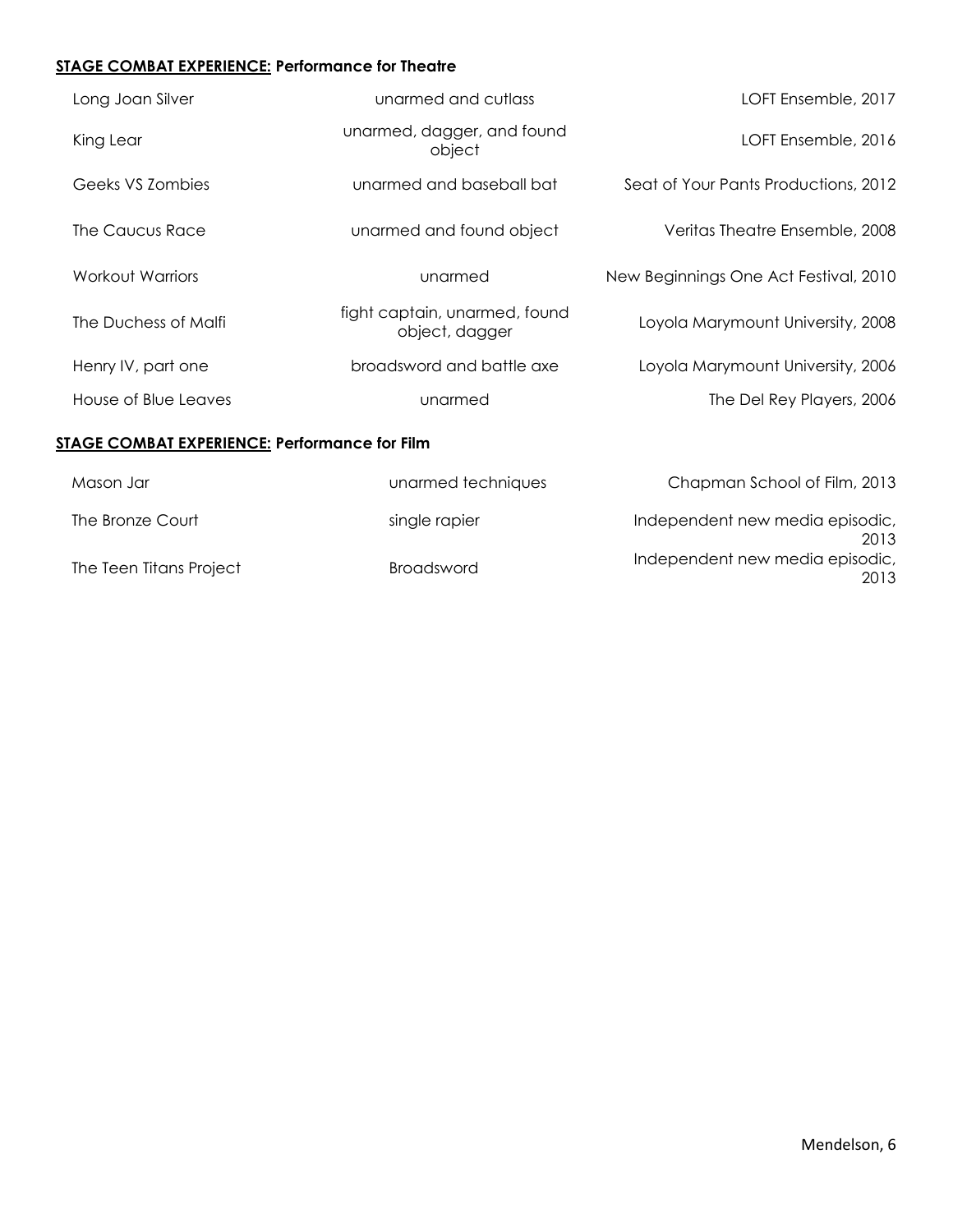# **STAGE COMBAT EXPERIENCE: Performance for Theatre**

| Long Joan Silver                                     | unarmed and cutlass                             | LOFT Ensemble, 2017                   |
|------------------------------------------------------|-------------------------------------------------|---------------------------------------|
| King Lear                                            | unarmed, dagger, and found<br>object            | LOFT Ensemble, 2016                   |
| Geeks VS Zombies                                     | unarmed and baseball bat                        | Seat of Your Pants Productions, 2012  |
| The Caucus Race                                      | unarmed and found object                        | Veritas Theatre Ensemble, 2008        |
| Workout Warriors                                     | unarmed                                         | New Beginnings One Act Festival, 2010 |
| The Duchess of Malfi                                 | fight captain, unarmed, found<br>object, dagger | Loyola Marymount University, 2008     |
| Henry IV, part one                                   | broadsword and battle axe                       | Loyola Marymount University, 2006     |
| House of Blue Leaves                                 | unarmed                                         | The Del Rey Players, 2006             |
| <b>STAGE COMBAT EXPERIENCE: Performance for Film</b> |                                                 |                                       |
| Mason Jar                                            | unarmed techniques                              | Chapman School of Film, 2013          |

| The Bronze Court        | single rapier | Independent new media episodic,         |
|-------------------------|---------------|-----------------------------------------|
|                         |               | 2013<br>Independent new media episodic, |
| The Teen Titans Project | Broadsword    | 2013                                    |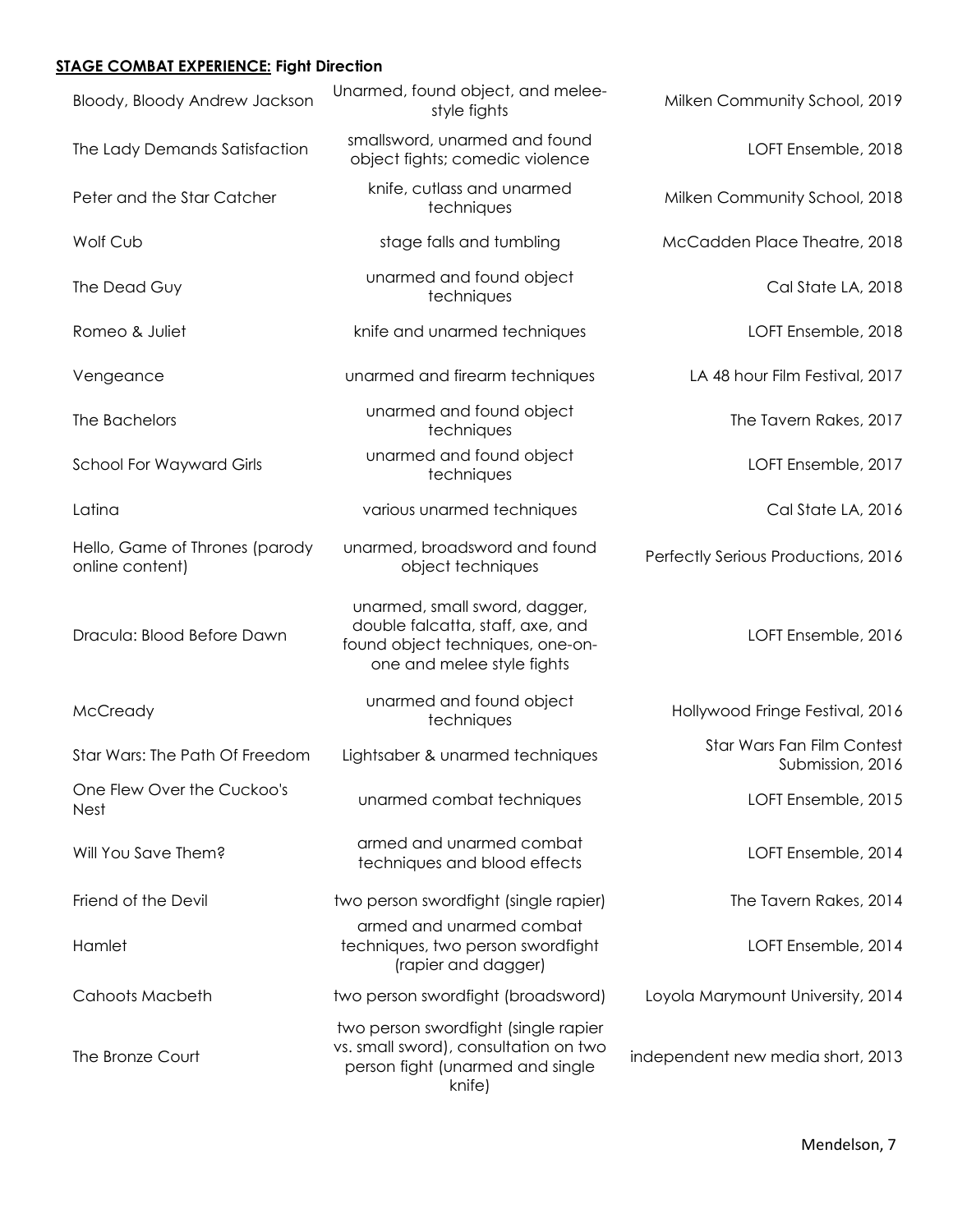### **STAGE COMBAT EXPERIENCE: Fight Direction**

| Bloody, Bloody Andrew Jackson                     | Unarmed, found object, and melee-<br>style fights                                                                                   | Milken Community School, 2019                  |
|---------------------------------------------------|-------------------------------------------------------------------------------------------------------------------------------------|------------------------------------------------|
| The Lady Demands Satisfaction                     | smallsword, unarmed and found<br>object fights; comedic violence                                                                    | LOFT Ensemble, 2018                            |
| Peter and the Star Catcher                        | knife, cutlass and unarmed<br>techniques                                                                                            | Milken Community School, 2018                  |
| Wolf Cub                                          | stage falls and tumbling                                                                                                            | McCadden Place Theatre, 2018                   |
| The Dead Guy                                      | unarmed and found object<br>techniques                                                                                              | Cal State LA, 2018                             |
| Romeo & Juliet                                    | knife and unarmed techniques                                                                                                        | LOFT Ensemble, 2018                            |
| Vengeance                                         | unarmed and firearm techniques                                                                                                      | LA 48 hour Film Festival, 2017                 |
| The Bachelors                                     | unarmed and found object<br>techniques                                                                                              | The Tavern Rakes, 2017                         |
| <b>School For Wayward Girls</b>                   | unarmed and found object<br>techniques                                                                                              | LOFT Ensemble, 2017                            |
| Latina                                            | various unarmed techniques                                                                                                          | Cal State LA, 2016                             |
| Hello, Game of Thrones (parody<br>online content) | unarmed, broadsword and found<br>object techniques                                                                                  | Perfectly Serious Productions, 2016            |
| Dracula: Blood Before Dawn                        | unarmed, small sword, dagger,<br>double falcatta, staff, axe, and<br>found object techniques, one-on-<br>one and melee style fights | LOFT Ensemble, 2016                            |
| McCready                                          | unarmed and found object<br>techniques                                                                                              | Hollywood Fringe Festival, 2016                |
| Star Wars: The Path Of Freedom                    | Lightsaber & unarmed techniques                                                                                                     | Star Wars Fan Film Contest<br>Submission, 2016 |
| One Flew Over the Cuckoo's<br>Nest                | unarmed combat techniques                                                                                                           | LOFT Ensemble, 2015                            |
| Will You Save Them?                               | armed and unarmed combat<br>techniques and blood effects                                                                            | LOFT Ensemble, 2014                            |
| Friend of the Devil                               | two person swordfight (single rapier)                                                                                               | The Tavern Rakes, 2014                         |
| Hamlet                                            | armed and unarmed combat<br>techniques, two person swordfight<br>(rapier and dagger)                                                | LOFT Ensemble, 2014                            |
| <b>Cahoots Macbeth</b>                            | two person swordfight (broadsword)                                                                                                  | Loyola Marymount University, 2014              |
| The Bronze Court                                  | two person swordfight (single rapier<br>vs. small sword), consultation on two<br>person fight (unarmed and single<br>knife)         | independent new media short, 2013              |